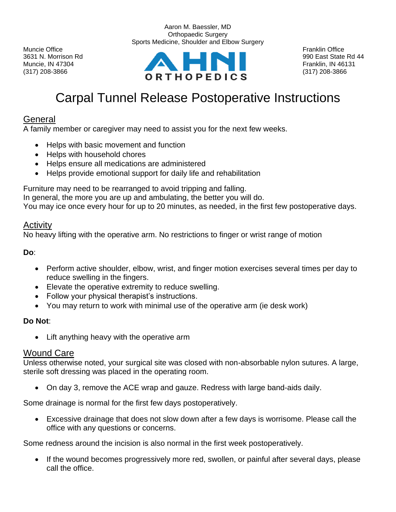

Aaron M. Baessler, MD Orthopaedic Surgery Sports Medicine, Shoulder and Elbow Surgery

# Carpal Tunnel Release Postoperative Instructions

## General

A family member or caregiver may need to assist you for the next few weeks.

- Helps with basic movement and function
- Helps with household chores
- Helps ensure all medications are administered
- Helps provide emotional support for daily life and rehabilitation

Furniture may need to be rearranged to avoid tripping and falling.

In general, the more you are up and ambulating, the better you will do.

You may ice once every hour for up to 20 minutes, as needed, in the first few postoperative days.

#### **Activity**

No heavy lifting with the operative arm. No restrictions to finger or wrist range of motion

**Do**:

- Perform active shoulder, elbow, wrist, and finger motion exercises several times per day to reduce swelling in the fingers.
- Elevate the operative extremity to reduce swelling.
- Follow your physical therapist's instructions.
- You may return to work with minimal use of the operative arm (ie desk work)

#### **Do Not**:

• Lift anything heavy with the operative arm

#### Wound Care

Unless otherwise noted, your surgical site was closed with non-absorbable nylon sutures. A large, sterile soft dressing was placed in the operating room.

• On day 3, remove the ACE wrap and gauze. Redress with large band-aids daily.

Some drainage is normal for the first few days postoperatively.

• Excessive drainage that does not slow down after a few days is worrisome. Please call the office with any questions or concerns.

Some redness around the incision is also normal in the first week postoperatively.

• If the wound becomes progressively more red, swollen, or painful after several days, please call the office.